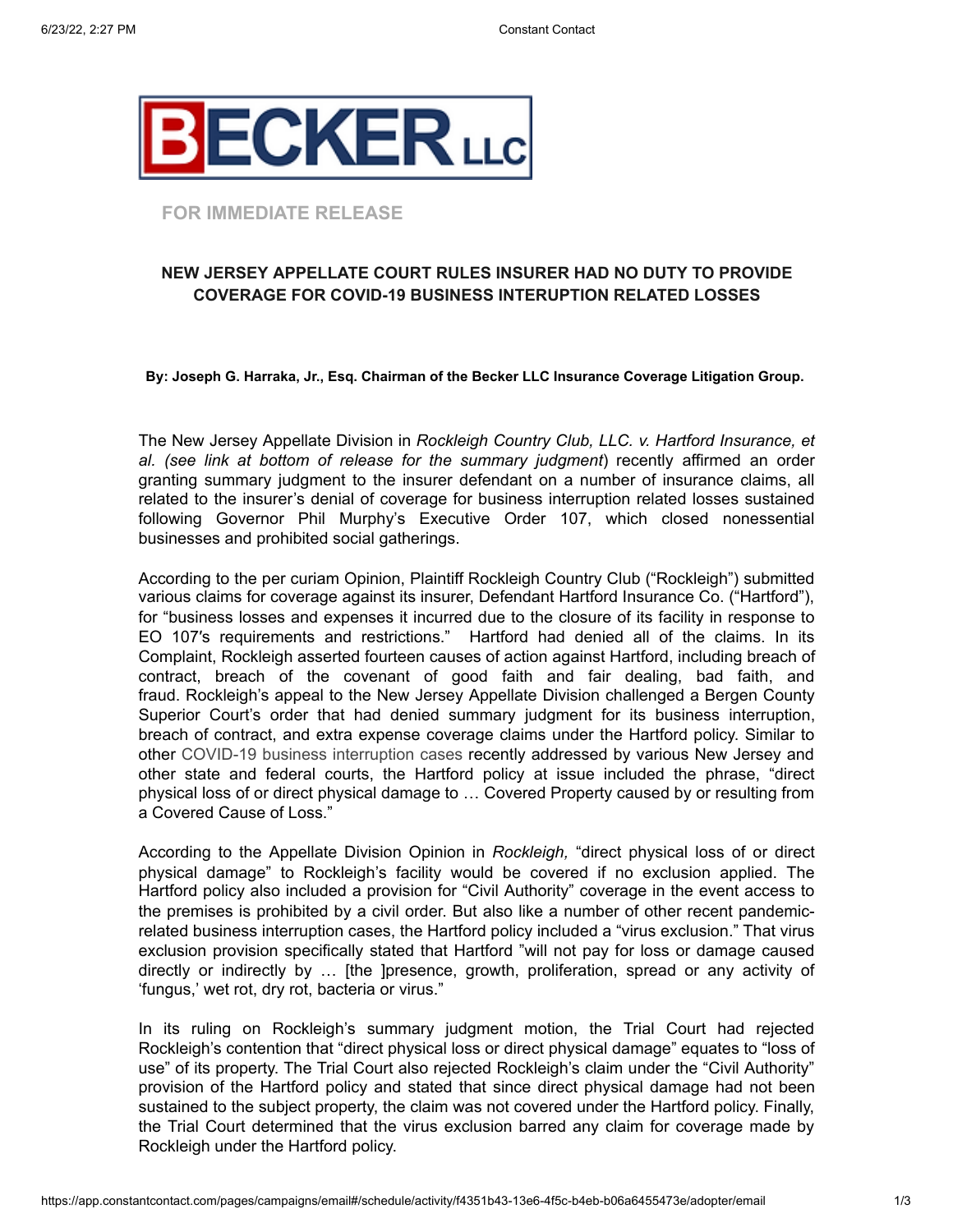

### **FOR IMMEDIATE RELEASE**

## **NEW JERSEY APPELLATE COURT RULES INSURER HAD NO DUTY TO PROVIDE COVERAGE FOR COVID-19 BUSINESS INTERUPTION RELATED LOSSES**

**By: Joseph G. Harraka, Jr., Esq. Chairman of the Becker LLC Insurance Coverage Litigation Group.**

The New Jersey Appellate Division in *Rockleigh Country Club, LLC. v. Hartford Insurance, et al. (see link at bottom of release for the summary judgment*) recently affirmed an order granting summary judgment to the insurer defendant on a number of insurance claims, all related to the insurer's denial of coverage for business interruption related losses sustained following Governor Phil Murphy's Executive Order 107, which closed nonessential businesses and prohibited social gatherings.

According to the per curiam Opinion, Plaintiff Rockleigh Country Club ("Rockleigh") submitted various claims for coverage against its insurer, Defendant Hartford Insurance Co. ("Hartford"), for "business losses and expenses it incurred due to the closure of its facility in response to EO 107′s requirements and restrictions." Hartford had denied all of the claims. In its Complaint, Rockleigh asserted fourteen causes of action against Hartford, including breach of contract, breach of the covenant of good faith and fair dealing, bad faith, and fraud. Rockleigh's appeal to the New Jersey Appellate Division challenged a Bergen County Superior Court's order that had denied summary judgment for its business interruption, breach of contract, and extra expense coverage claims under the Hartford policy. Similar to other COVID-19 business interruption cases recently addressed by various New Jersey and other state and federal courts, the Hartford policy at issue included the phrase, "direct physical loss of or direct physical damage to … Covered Property caused by or resulting from a Covered Cause of Loss."

According to the Appellate Division Opinion in *Rockleigh,* "direct physical loss of or direct physical damage" to Rockleigh's facility would be covered if no exclusion applied. The Hartford policy also included a provision for "Civil Authority" coverage in the event access to the premises is prohibited by a civil order. But also like a number of other recent pandemicrelated business interruption cases, the Hartford policy included a "virus exclusion." That virus exclusion provision specifically stated that Hartford "will not pay for loss or damage caused directly or indirectly by … [the ]presence, growth, proliferation, spread or any activity of 'fungus,' wet rot, dry rot, bacteria or virus."

In its ruling on Rockleigh's summary judgment motion, the Trial Court had rejected Rockleigh's contention that "direct physical loss or direct physical damage" equates to "loss of use" of its property. The Trial Court also rejected Rockleigh's claim under the "Civil Authority" provision of the Hartford policy and stated that since direct physical damage had not been sustained to the subject property, the claim was not covered under the Hartford policy. Finally, the Trial Court determined that the virus exclusion barred any claim for coverage made by Rockleigh under the Hartford policy.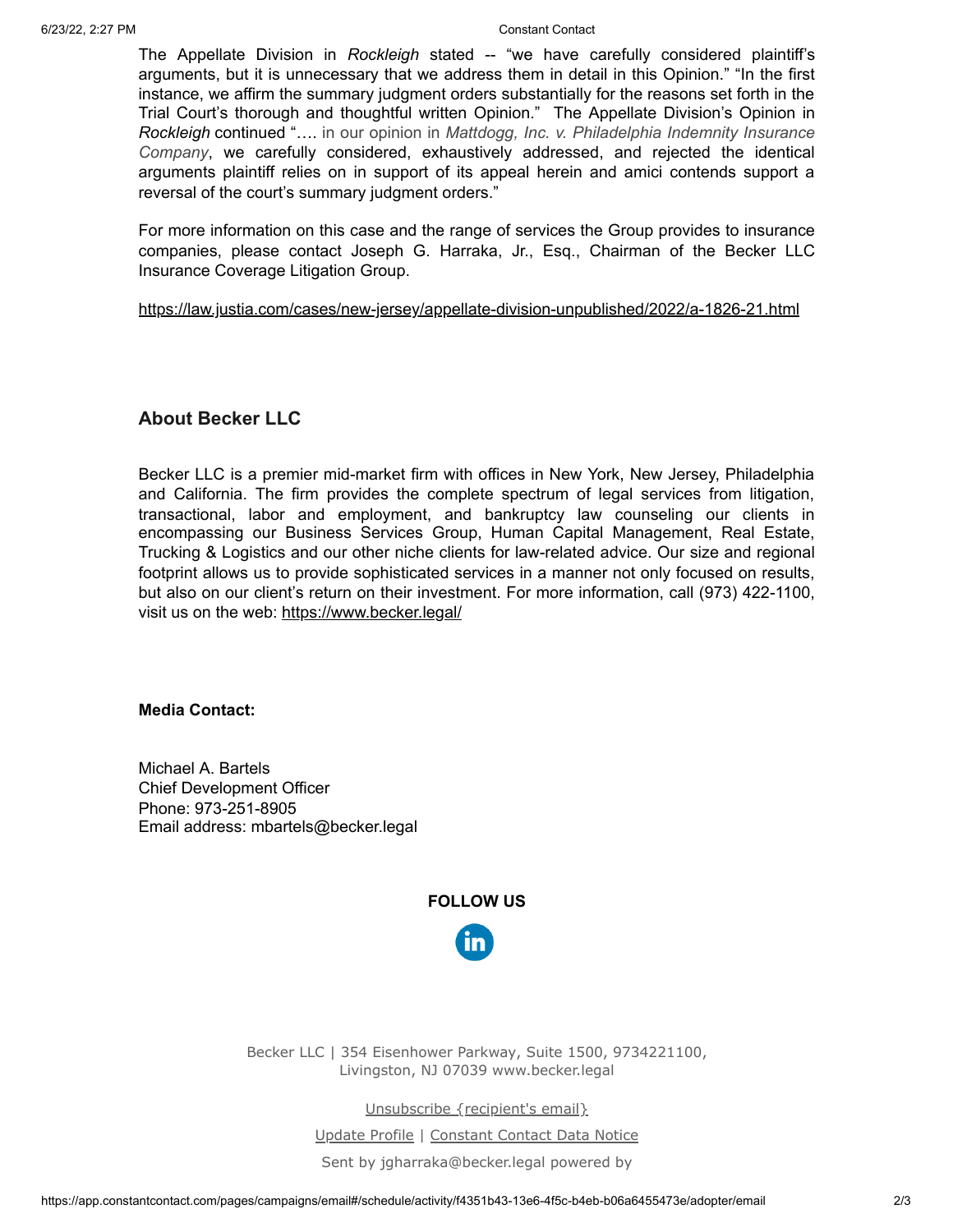The Appellate Division in *Rockleigh* stated -- "we have carefully considered plaintiff's arguments, but it is unnecessary that we address them in detail in this Opinion." "In the first instance, we affirm the summary judgment orders substantially for the reasons set forth in the Trial Court's thorough and thoughtful written Opinion." The Appellate Division's Opinion in *Rockleigh* continued "…. in our opinion in *Mattdogg, Inc. v. Philadelphia Indemnity Insurance Company*, we carefully considered, exhaustively addressed, and rejected the identical arguments plaintiff relies on in support of its appeal herein and amici contends support a reversal of the court's summary judgment orders."

For more information on this case and the range of services the Group provides to insurance companies, please contact Joseph G. Harraka, Jr., Esq., Chairman of the Becker LLC Insurance Coverage Litigation Group.

#### <https://law.justia.com/cases/new-jersey/appellate-division-unpublished/2022/a-1826-21.html>

# **About Becker LLC**

Becker LLC is a premier mid-market firm with offices in New York, New Jersey, Philadelphia and California. The firm provides the complete spectrum of legal services from litigation, transactional, labor and employment, and bankruptcy law counseling our clients in encompassing our Business Services Group, Human Capital Management, Real Estate, Trucking & Logistics and our other niche clients for law-related advice. Our size and regional footprint allows us to provide sophisticated services in a manner not only focused on results, but also on our client's return on their investment. For more information, call (973) 422-1100, visit us on the web:<https://www.becker.legal/>

### **Media Contact:**

Michael A. Bartels Chief Development Officer Phone: 973-251-8905 Email address: mbartels@becker.legal

# **FOLLOW US**



Becker LLC | 354 Eisenhower Parkway, Suite 1500, 9734221100, Livingston, NJ 07039 www.becker.legal

Unsubscribe {recipient's email}

Update Profile | [Constant Contact Data Notice](https://www.constantcontact.com/legal/customer-contact-data-notice)

Sent by [jgharraka@becker.legal](mailto:jgharraka@becker.legal) powered by